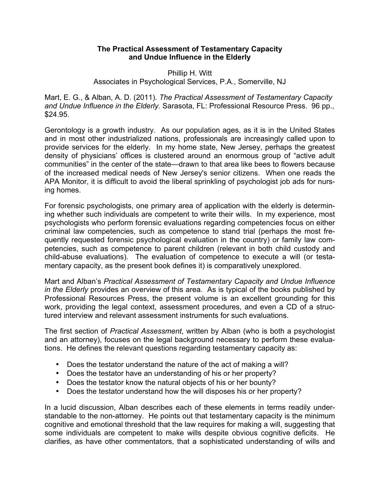## **The Practical Assessment of Testamentary Capacity and Undue Influence in the Elderly**

## Phillip H. Witt Associates in Psychological Services, P.A., Somerville, NJ

Mart, E. G., & Alban, A. D. (2011). *The Practical Assessment of Testamentary Capacity and Undue Influence in the Elderly.* Sarasota, FL: Professional Resource Press. 96 pp., \$24.95.

Gerontology is a growth industry. As our population ages, as it is in the United States and in most other industrialized nations, professionals are increasingly called upon to provide services for the elderly. In my home state, New Jersey, perhaps the greatest density of physicians' offices is clustered around an enormous group of "active adult communities" in the center of the state—drawn to that area like bees to flowers because of the increased medical needs of New Jersey's senior citizens. When one reads the APA Monitor, it is difficult to avoid the liberal sprinkling of psychologist job ads for nursing homes.

For forensic psychologists, one primary area of application with the elderly is determining whether such individuals are competent to write their wills. In my experience, most psychologists who perform forensic evaluations regarding competencies focus on either criminal law competencies, such as competence to stand trial (perhaps the most frequently requested forensic psychological evaluation in the country) or family law competencies, such as competence to parent children (relevant in both child custody and child-abuse evaluations). The evaluation of competence to execute a will (or testamentary capacity, as the present book defines it) is comparatively unexplored.

Mart and Alban's *Practical Assessment of Testamentary Capacity and Undue Influence in the Elderly* provides an overview of this area. As is typical of the books published by Professional Resources Press, the present volume is an excellent grounding for this work, providing the legal context, assessment procedures, and even a CD of a structured interview and relevant assessment instruments for such evaluations.

The first section of *Practical Assessment*, written by Alban (who is both a psychologist and an attorney), focuses on the legal background necessary to perform these evaluations. He defines the relevant questions regarding testamentary capacity as:

- Does the testator understand the nature of the act of making a will?
- Does the testator have an understanding of his or her property?
- Does the testator know the natural objects of his or her bounty?
- Does the testator understand how the will disposes his or her property?

In a lucid discussion, Alban describes each of these elements in terms readily understandable to the non-attorney. He points out that testamentary capacity is the minimum cognitive and emotional threshold that the law requires for making a will, suggesting that some individuals are competent to make wills despite obvious cognitive deficits. He clarifies, as have other commentators, that a sophisticated understanding of wills and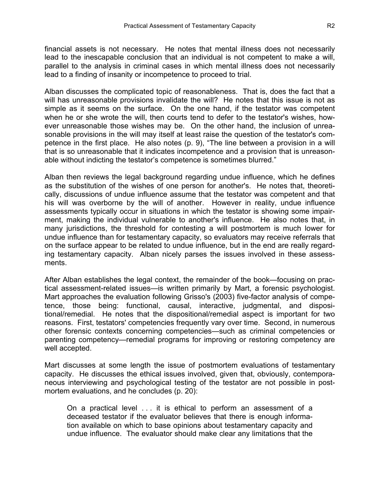financial assets is not necessary. He notes that mental illness does not necessarily lead to the inescapable conclusion that an individual is not competent to make a will, parallel to the analysis in criminal cases in which mental illness does not necessarily lead to a finding of insanity or incompetence to proceed to trial.

Alban discusses the complicated topic of reasonableness. That is, does the fact that a will has unreasonable provisions invalidate the will? He notes that this issue is not as simple as it seems on the surface. On the one hand, if the testator was competent when he or she wrote the will, then courts tend to defer to the testator's wishes, however unreasonable those wishes may be. On the other hand, the inclusion of unreasonable provisions in the will may itself at least raise the question of the testator's competence in the first place. He also notes (p. 9), "The line between a provision in a will that is so unreasonable that it indicates incompetence and a provision that is unreasonable without indicting the testator's competence is sometimes blurred."

Alban then reviews the legal background regarding undue influence, which he defines as the substitution of the wishes of one person for another's. He notes that, theoretically, discussions of undue influence assume that the testator was competent and that his will was overborne by the will of another. However in reality, undue influence assessments typically occur in situations in which the testator is showing some impairment, making the individual vulnerable to another's influence. He also notes that, in many jurisdictions, the threshold for contesting a will postmortem is much lower for undue influence than for testamentary capacity, so evaluators may receive referrals that on the surface appear to be related to undue influence, but in the end are really regarding testamentary capacity. Alban nicely parses the issues involved in these assessments.

After Alban establishes the legal context, the remainder of the book—focusing on practical assessment-related issues—is written primarily by Mart, a forensic psychologist. Mart approaches the evaluation following Grisso's (2003) five-factor analysis of competence, those being: functional, causal, interactive, judgmental, and dispositional/remedial. He notes that the dispositional/remedial aspect is important for two reasons. First, testators' competencies frequently vary over time. Second, in numerous other forensic contexts concerning competencies—such as criminal competencies or parenting competency—remedial programs for improving or restoring competency are well accepted.

Mart discusses at some length the issue of postmortem evaluations of testamentary capacity. He discusses the ethical issues involved, given that, obviously, contemporaneous interviewing and psychological testing of the testator are not possible in postmortem evaluations, and he concludes (p. 20):

On a practical level . . . it is ethical to perform an assessment of a deceased testator if the evaluator believes that there is enough information available on which to base opinions about testamentary capacity and undue influence. The evaluator should make clear any limitations that the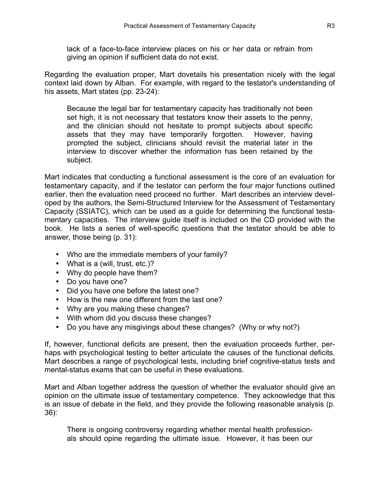lack of a face-to-face interview places on his or her data or refrain from giving an opinion if sufficient data do not exist.

Regarding the evaluation proper, Mart dovetails his presentation nicely with the legal context laid down by Alban. For example, with regard to the testator's understanding of his assets, Mart states (pp. 23-24):

Because the legal bar for testamentary capacity has traditionally not been set high, it is not necessary that testators know their assets to the penny, and the clinician should not hesitate to prompt subjects about specific assets that they may have temporarily forgotten. However, having prompted the subject, clinicians should revisit the material later in the interview to discover whether the information has been retained by the subject.

Mart indicates that conducting a functional assessment is the core of an evaluation for testamentary capacity, and if the testator can perform the four major functions outlined earlier, then the evaluation need proceed no further. Mart describes an interview developed by the authors, the Semi-Structured Interview for the Assessment of Testamentary Capacity (SSIATC), which can be used as a guide for determining the functional testamentary capacities. The interview guide itself is included on the CD provided with the book. He lists a series of well-specific questions that the testator should be able to answer, those being (p. 31):

- Who are the immediate members of your family?
- What is a (will, trust, etc.)?
- Why do people have them?
- Do you have one?
- Did you have one before the latest one?
- How is the new one different from the last one?
- Why are you making these changes?
- With whom did you discuss these changes?
- Do you have any misgivings about these changes? (Why or why not?)

If, however, functional deficits are present, then the evaluation proceeds further, perhaps with psychological testing to better articulate the causes of the functional deficits. Mart describes a range of psychological tests, including brief cognitive-status tests and mental-status exams that can be useful in these evaluations.

Mart and Alban together address the question of whether the evaluator should give an opinion on the ultimate issue of testamentary competence. They acknowledge that this is an issue of debate in the field, and they provide the following reasonable analysis (p. 36):

There is ongoing controversy regarding whether mental health professionals should opine regarding the ultimate issue. However, it has been our